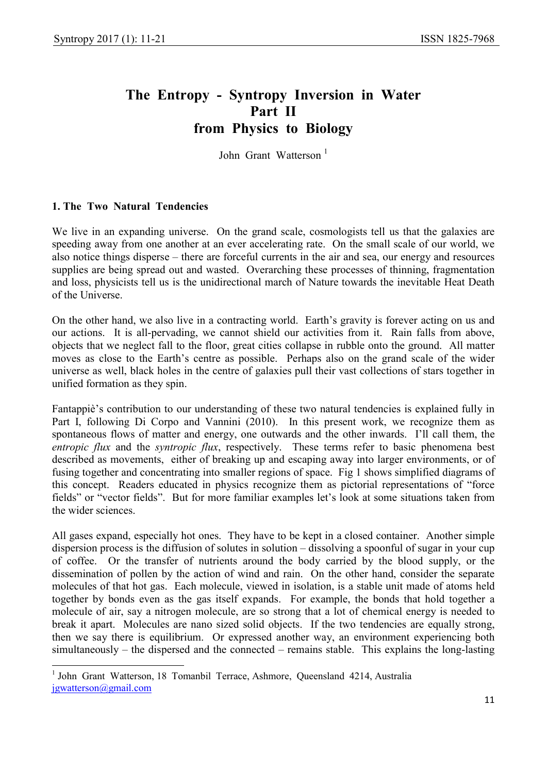# The Entropy - Syntropy Inversion in Water Part II from Physics to Biology

John Grant Watterson<sup>1</sup>

# 1. The Two Natural Tendencies

-

We live in an expanding universe. On the grand scale, cosmologists tell us that the galaxies are speeding away from one another at an ever accelerating rate. On the small scale of our world, we also notice things disperse – there are forceful currents in the air and sea, our energy and resources supplies are being spread out and wasted. Overarching these processes of thinning, fragmentation and loss, physicists tell us is the unidirectional march of Nature towards the inevitable Heat Death of the Universe.

On the other hand, we also live in a contracting world. Earth's gravity is forever acting on us and our actions. It is all-pervading, we cannot shield our activities from it. Rain falls from above, objects that we neglect fall to the floor, great cities collapse in rubble onto the ground. All matter moves as close to the Earth's centre as possible. Perhaps also on the grand scale of the wider universe as well, black holes in the centre of galaxies pull their vast collections of stars together in unified formation as they spin.

Fantappiè's contribution to our understanding of these two natural tendencies is explained fully in Part I, following Di Corpo and Vannini (2010). In this present work, we recognize them as spontaneous flows of matter and energy, one outwards and the other inwards. I'll call them, the entropic flux and the syntropic flux, respectively. These terms refer to basic phenomena best described as movements, either of breaking up and escaping away into larger environments, or of fusing together and concentrating into smaller regions of space. Fig 1 shows simplified diagrams of this concept. Readers educated in physics recognize them as pictorial representations of "force fields" or "vector fields". But for more familiar examples let's look at some situations taken from the wider sciences.

All gases expand, especially hot ones. They have to be kept in a closed container. Another simple dispersion process is the diffusion of solutes in solution – dissolving a spoonful of sugar in your cup of coffee. Or the transfer of nutrients around the body carried by the blood supply, or the dissemination of pollen by the action of wind and rain. On the other hand, consider the separate molecules of that hot gas. Each molecule, viewed in isolation, is a stable unit made of atoms held together by bonds even as the gas itself expands. For example, the bonds that hold together a molecule of air, say a nitrogen molecule, are so strong that a lot of chemical energy is needed to break it apart. Molecules are nano sized solid objects. If the two tendencies are equally strong, then we say there is equilibrium. Or expressed another way, an environment experiencing both simultaneously – the dispersed and the connected – remains stable. This explains the long-lasting

<sup>&</sup>lt;sup>1</sup> John Grant Watterson, 18 Tomanbil Terrace, Ashmore, Queensland 4214, Australia jgwatterson@gmail.com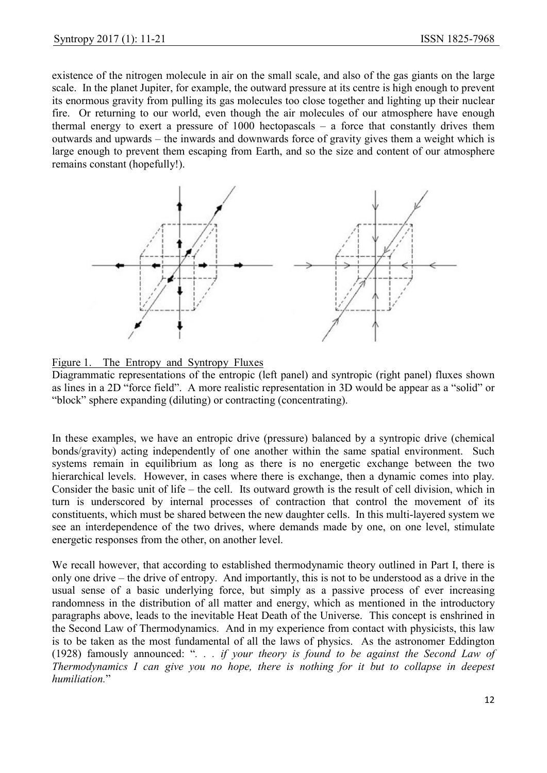existence of the nitrogen molecule in air on the small scale, and also of the gas giants on the large scale. In the planet Jupiter, for example, the outward pressure at its centre is high enough to prevent its enormous gravity from pulling its gas molecules too close together and lighting up their nuclear fire. Or returning to our world, even though the air molecules of our atmosphere have enough thermal energy to exert a pressure of 1000 hectopascals – a force that constantly drives them outwards and upwards – the inwards and downwards force of gravity gives them a weight which is large enough to prevent them escaping from Earth, and so the size and content of our atmosphere remains constant (hopefully!).



Figure 1. The Entropy and Syntropy Fluxes

Diagrammatic representations of the entropic (left panel) and syntropic (right panel) fluxes shown as lines in a 2D "force field". A more realistic representation in 3D would be appear as a "solid" or "block" sphere expanding (diluting) or contracting (concentrating).

In these examples, we have an entropic drive (pressure) balanced by a syntropic drive (chemical bonds/gravity) acting independently of one another within the same spatial environment. Such systems remain in equilibrium as long as there is no energetic exchange between the two hierarchical levels. However, in cases where there is exchange, then a dynamic comes into play. Consider the basic unit of life – the cell. Its outward growth is the result of cell division, which in turn is underscored by internal processes of contraction that control the movement of its constituents, which must be shared between the new daughter cells. In this multi-layered system we see an interdependence of the two drives, where demands made by one, on one level, stimulate energetic responses from the other, on another level.

We recall however, that according to established thermodynamic theory outlined in Part I, there is only one drive – the drive of entropy. And importantly, this is not to be understood as a drive in the usual sense of a basic underlying force, but simply as a passive process of ever increasing randomness in the distribution of all matter and energy, which as mentioned in the introductory paragraphs above, leads to the inevitable Heat Death of the Universe. This concept is enshrined in the Second Law of Thermodynamics. And in my experience from contact with physicists, this law is to be taken as the most fundamental of all the laws of physics. As the astronomer Eddington (1928) famously announced: "... if your theory is found to be against the Second Law of Thermodynamics I can give you no hope, there is nothing for it but to collapse in deepest humiliation."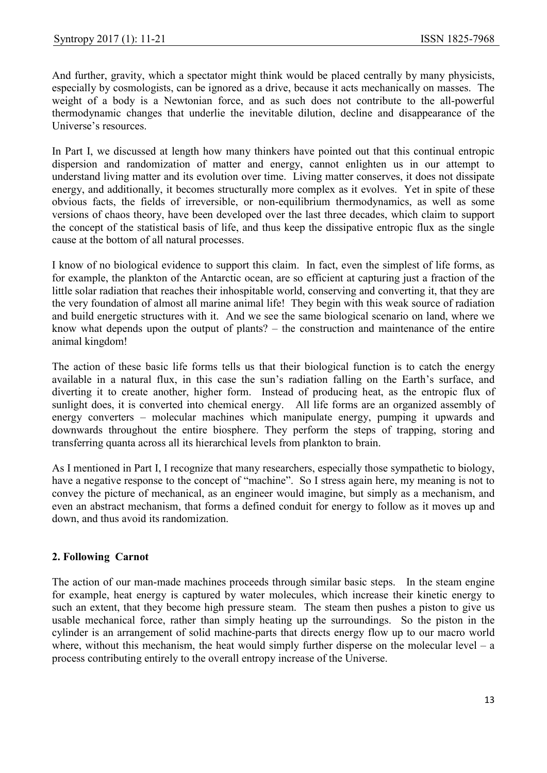And further, gravity, which a spectator might think would be placed centrally by many physicists, especially by cosmologists, can be ignored as a drive, because it acts mechanically on masses. The weight of a body is a Newtonian force, and as such does not contribute to the all-powerful thermodynamic changes that underlie the inevitable dilution, decline and disappearance of the Universe's resources.

In Part I, we discussed at length how many thinkers have pointed out that this continual entropic dispersion and randomization of matter and energy, cannot enlighten us in our attempt to understand living matter and its evolution over time. Living matter conserves, it does not dissipate energy, and additionally, it becomes structurally more complex as it evolves. Yet in spite of these obvious facts, the fields of irreversible, or non-equilibrium thermodynamics, as well as some versions of chaos theory, have been developed over the last three decades, which claim to support the concept of the statistical basis of life, and thus keep the dissipative entropic flux as the single cause at the bottom of all natural processes.

I know of no biological evidence to support this claim. In fact, even the simplest of life forms, as for example, the plankton of the Antarctic ocean, are so efficient at capturing just a fraction of the little solar radiation that reaches their inhospitable world, conserving and converting it, that they are the very foundation of almost all marine animal life! They begin with this weak source of radiation and build energetic structures with it. And we see the same biological scenario on land, where we know what depends upon the output of plants? – the construction and maintenance of the entire animal kingdom!

The action of these basic life forms tells us that their biological function is to catch the energy available in a natural flux, in this case the sun's radiation falling on the Earth's surface, and diverting it to create another, higher form. Instead of producing heat, as the entropic flux of sunlight does, it is converted into chemical energy. All life forms are an organized assembly of energy converters – molecular machines which manipulate energy, pumping it upwards and downwards throughout the entire biosphere. They perform the steps of trapping, storing and transferring quanta across all its hierarchical levels from plankton to brain.

As I mentioned in Part I, I recognize that many researchers, especially those sympathetic to biology, have a negative response to the concept of "machine". So I stress again here, my meaning is not to convey the picture of mechanical, as an engineer would imagine, but simply as a mechanism, and even an abstract mechanism, that forms a defined conduit for energy to follow as it moves up and down, and thus avoid its randomization.

## 2. Following Carnot

The action of our man-made machines proceeds through similar basic steps. In the steam engine for example, heat energy is captured by water molecules, which increase their kinetic energy to such an extent, that they become high pressure steam. The steam then pushes a piston to give us usable mechanical force, rather than simply heating up the surroundings. So the piston in the cylinder is an arrangement of solid machine-parts that directs energy flow up to our macro world where, without this mechanism, the heat would simply further disperse on the molecular level – a process contributing entirely to the overall entropy increase of the Universe.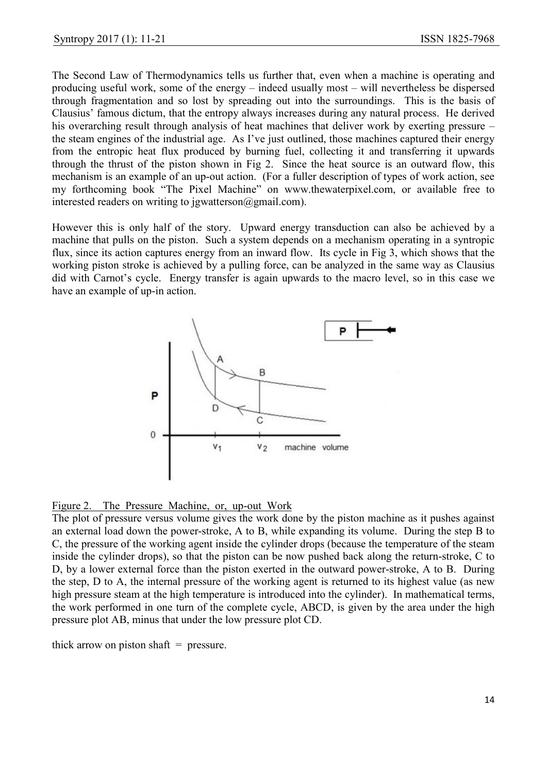The Second Law of Thermodynamics tells us further that, even when a machine is operating and producing useful work, some of the energy – indeed usually most – will nevertheless be dispersed through fragmentation and so lost by spreading out into the surroundings. This is the basis of Clausius' famous dictum, that the entropy always increases during any natural process. He derived his overarching result through analysis of heat machines that deliver work by exerting pressure – the steam engines of the industrial age. As I've just outlined, those machines captured their energy from the entropic heat flux produced by burning fuel, collecting it and transferring it upwards through the thrust of the piston shown in Fig 2. Since the heat source is an outward flow, this mechanism is an example of an up-out action. (For a fuller description of types of work action, see my forthcoming book "The Pixel Machine" on www.thewaterpixel.com, or available free to interested readers on writing to jgwatterson@gmail.com).

However this is only half of the story. Upward energy transduction can also be achieved by a machine that pulls on the piston. Such a system depends on a mechanism operating in a syntropic flux, since its action captures energy from an inward flow. Its cycle in Fig 3, which shows that the working piston stroke is achieved by a pulling force, can be analyzed in the same way as Clausius did with Carnot's cycle. Energy transfer is again upwards to the macro level, so in this case we have an example of up-in action.



Figure 2. The Pressure Machine, or, up-out Work

The plot of pressure versus volume gives the work done by the piston machine as it pushes against an external load down the power-stroke, A to B, while expanding its volume. During the step B to C, the pressure of the working agent inside the cylinder drops (because the temperature of the steam inside the cylinder drops), so that the piston can be now pushed back along the return-stroke, C to D, by a lower external force than the piston exerted in the outward power-stroke, A to B. During the step, D to A, the internal pressure of the working agent is returned to its highest value (as new high pressure steam at the high temperature is introduced into the cylinder). In mathematical terms, the work performed in one turn of the complete cycle, ABCD, is given by the area under the high pressure plot AB, minus that under the low pressure plot CD.

thick arrow on piston shaft  $=$  pressure.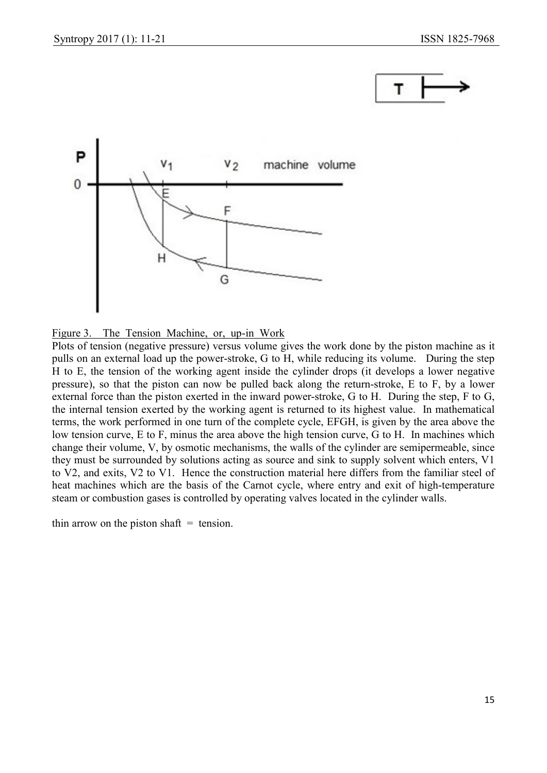



Figure 3. The Tension Machine, or, up-in Work

Plots of tension (negative pressure) versus volume gives the work done by the piston machine as it pulls on an external load up the power-stroke, G to H, while reducing its volume. During the step H to E, the tension of the working agent inside the cylinder drops (it develops a lower negative pressure), so that the piston can now be pulled back along the return-stroke, E to F, by a lower external force than the piston exerted in the inward power-stroke, G to H. During the step, F to G, the internal tension exerted by the working agent is returned to its highest value. In mathematical terms, the work performed in one turn of the complete cycle, EFGH, is given by the area above the low tension curve, E to F, minus the area above the high tension curve, G to H. In machines which change their volume, V, by osmotic mechanisms, the walls of the cylinder are semipermeable, since they must be surrounded by solutions acting as source and sink to supply solvent which enters, V1 to V2, and exits, V2 to V1. Hence the construction material here differs from the familiar steel of heat machines which are the basis of the Carnot cycle, where entry and exit of high-temperature steam or combustion gases is controlled by operating valves located in the cylinder walls.

thin arrow on the piston shaft  $=$  tension.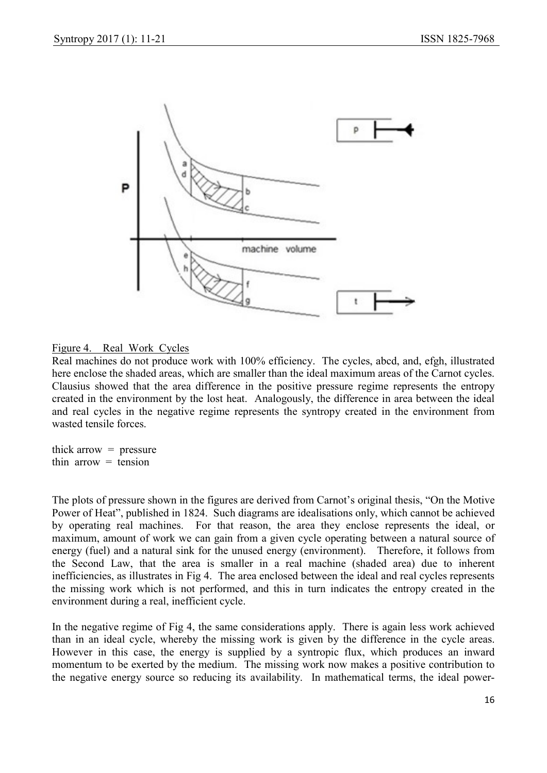

## Figure 4. Real Work Cycles

Real machines do not produce work with 100% efficiency. The cycles, abcd, and, efgh, illustrated here enclose the shaded areas, which are smaller than the ideal maximum areas of the Carnot cycles. Clausius showed that the area difference in the positive pressure regime represents the entropy created in the environment by the lost heat. Analogously, the difference in area between the ideal and real cycles in the negative regime represents the syntropy created in the environment from wasted tensile forces.

thick arrow  $=$  pressure thin arrow  $=$  tension

The plots of pressure shown in the figures are derived from Carnot's original thesis, "On the Motive Power of Heat", published in 1824. Such diagrams are idealisations only, which cannot be achieved by operating real machines. For that reason, the area they enclose represents the ideal, or maximum, amount of work we can gain from a given cycle operating between a natural source of energy (fuel) and a natural sink for the unused energy (environment). Therefore, it follows from the Second Law, that the area is smaller in a real machine (shaded area) due to inherent inefficiencies, as illustrates in Fig 4. The area enclosed between the ideal and real cycles represents the missing work which is not performed, and this in turn indicates the entropy created in the environment during a real, inefficient cycle.

In the negative regime of Fig 4, the same considerations apply. There is again less work achieved than in an ideal cycle, whereby the missing work is given by the difference in the cycle areas. However in this case, the energy is supplied by a syntropic flux, which produces an inward momentum to be exerted by the medium. The missing work now makes a positive contribution to the negative energy source so reducing its availability. In mathematical terms, the ideal power-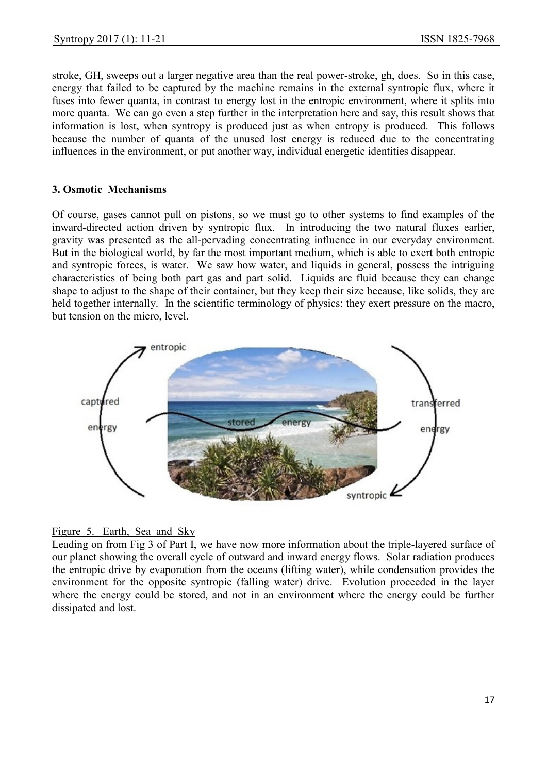stroke, GH, sweeps out a larger negative area than the real power-stroke, gh, does. So in this case, energy that failed to be captured by the machine remains in the external syntropic flux, where it fuses into fewer quanta, in contrast to energy lost in the entropic environment, where it splits into more quanta. We can go even a step further in the interpretation here and say, this result shows that information is lost, when syntropy is produced just as when entropy is produced. This follows because the number of quanta of the unused lost energy is reduced due to the concentrating influences in the environment, or put another way, individual energetic identities disappear.

#### 3. Osmotic Mechanisms

Of course, gases cannot pull on pistons, so we must go to other systems to find examples of the inward-directed action driven by syntropic flux. In introducing the two natural fluxes earlier, gravity was presented as the all-pervading concentrating influence in our everyday environment. But in the biological world, by far the most important medium, which is able to exert both entropic and syntropic forces, is water. We saw how water, and liquids in general, possess the intriguing characteristics of being both part gas and part solid. Liquids are fluid because they can change shape to adjust to the shape of their container, but they keep their size because, like solids, they are held together internally. In the scientific terminology of physics: they exert pressure on the macro, but tension on the micro, level.



## Figure 5. Earth, Sea and Sky

Leading on from Fig 3 of Part I, we have now more information about the triple-layered surface of our planet showing the overall cycle of outward and inward energy flows. Solar radiation produces the entropic drive by evaporation from the oceans (lifting water), while condensation provides the environment for the opposite syntropic (falling water) drive. Evolution proceeded in the layer where the energy could be stored, and not in an environment where the energy could be further dissipated and lost.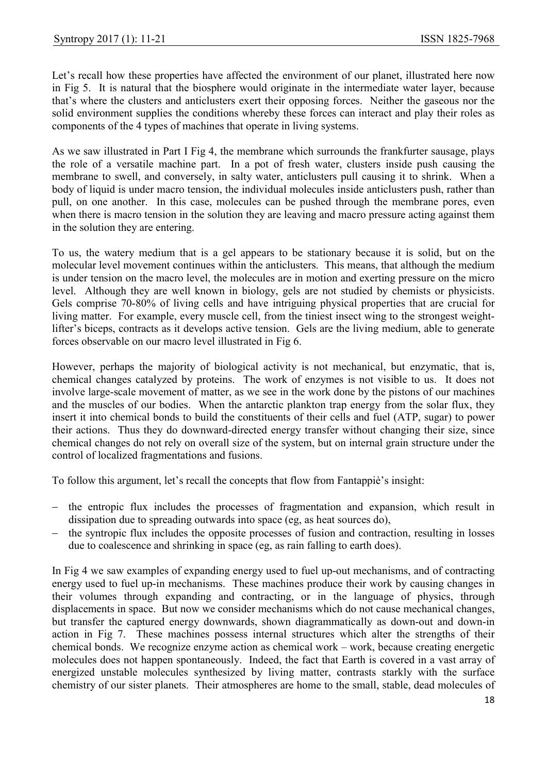Let's recall how these properties have affected the environment of our planet, illustrated here now in Fig 5. It is natural that the biosphere would originate in the intermediate water layer, because that's where the clusters and anticlusters exert their opposing forces. Neither the gaseous nor the solid environment supplies the conditions whereby these forces can interact and play their roles as components of the 4 types of machines that operate in living systems.

As we saw illustrated in Part I Fig 4, the membrane which surrounds the frankfurter sausage, plays the role of a versatile machine part. In a pot of fresh water, clusters inside push causing the membrane to swell, and conversely, in salty water, anticlusters pull causing it to shrink. When a body of liquid is under macro tension, the individual molecules inside anticlusters push, rather than pull, on one another. In this case, molecules can be pushed through the membrane pores, even when there is macro tension in the solution they are leaving and macro pressure acting against them in the solution they are entering.

To us, the watery medium that is a gel appears to be stationary because it is solid, but on the molecular level movement continues within the anticlusters. This means, that although the medium is under tension on the macro level, the molecules are in motion and exerting pressure on the micro level. Although they are well known in biology, gels are not studied by chemists or physicists. Gels comprise 70-80% of living cells and have intriguing physical properties that are crucial for living matter. For example, every muscle cell, from the tiniest insect wing to the strongest weightlifter's biceps, contracts as it develops active tension. Gels are the living medium, able to generate forces observable on our macro level illustrated in Fig 6.

However, perhaps the majority of biological activity is not mechanical, but enzymatic, that is, chemical changes catalyzed by proteins. The work of enzymes is not visible to us. It does not involve large-scale movement of matter, as we see in the work done by the pistons of our machines and the muscles of our bodies. When the antarctic plankton trap energy from the solar flux, they insert it into chemical bonds to build the constituents of their cells and fuel (ATP, sugar) to power their actions. Thus they do downward-directed energy transfer without changing their size, since chemical changes do not rely on overall size of the system, but on internal grain structure under the control of localized fragmentations and fusions.

To follow this argument, let's recall the concepts that flow from Fantappiè's insight:

- the entropic flux includes the processes of fragmentation and expansion, which result in dissipation due to spreading outwards into space (eg, as heat sources do),
- the syntropic flux includes the opposite processes of fusion and contraction, resulting in losses due to coalescence and shrinking in space (eg, as rain falling to earth does).

In Fig 4 we saw examples of expanding energy used to fuel up-out mechanisms, and of contracting energy used to fuel up-in mechanisms. These machines produce their work by causing changes in their volumes through expanding and contracting, or in the language of physics, through displacements in space. But now we consider mechanisms which do not cause mechanical changes, but transfer the captured energy downwards, shown diagrammatically as down-out and down-in action in Fig 7. These machines possess internal structures which alter the strengths of their chemical bonds. We recognize enzyme action as chemical work – work, because creating energetic molecules does not happen spontaneously. Indeed, the fact that Earth is covered in a vast array of energized unstable molecules synthesized by living matter, contrasts starkly with the surface chemistry of our sister planets. Their atmospheres are home to the small, stable, dead molecules of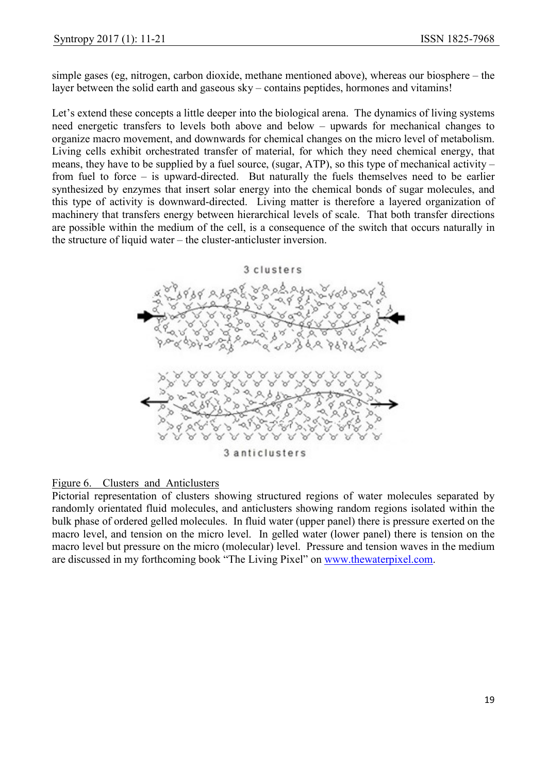simple gases (eg, nitrogen, carbon dioxide, methane mentioned above), whereas our biosphere – the layer between the solid earth and gaseous sky – contains peptides, hormones and vitamins!

Let's extend these concepts a little deeper into the biological arena. The dynamics of living systems need energetic transfers to levels both above and below – upwards for mechanical changes to organize macro movement, and downwards for chemical changes on the micro level of metabolism. Living cells exhibit orchestrated transfer of material, for which they need chemical energy, that means, they have to be supplied by a fuel source, (sugar, ATP), so this type of mechanical activity – from fuel to force – is upward-directed. But naturally the fuels themselves need to be earlier synthesized by enzymes that insert solar energy into the chemical bonds of sugar molecules, and this type of activity is downward-directed. Living matter is therefore a layered organization of machinery that transfers energy between hierarchical levels of scale. That both transfer directions are possible within the medium of the cell, is a consequence of the switch that occurs naturally in the structure of liquid water – the cluster-anticluster inversion.

#### 3 clusters



## Figure 6. Clusters and Anticlusters

Pictorial representation of clusters showing structured regions of water molecules separated by randomly orientated fluid molecules, and anticlusters showing random regions isolated within the bulk phase of ordered gelled molecules. In fluid water (upper panel) there is pressure exerted on the macro level, and tension on the micro level. In gelled water (lower panel) there is tension on the macro level but pressure on the micro (molecular) level. Pressure and tension waves in the medium are discussed in my forthcoming book "The Living Pixel" on www.thewaterpixel.com.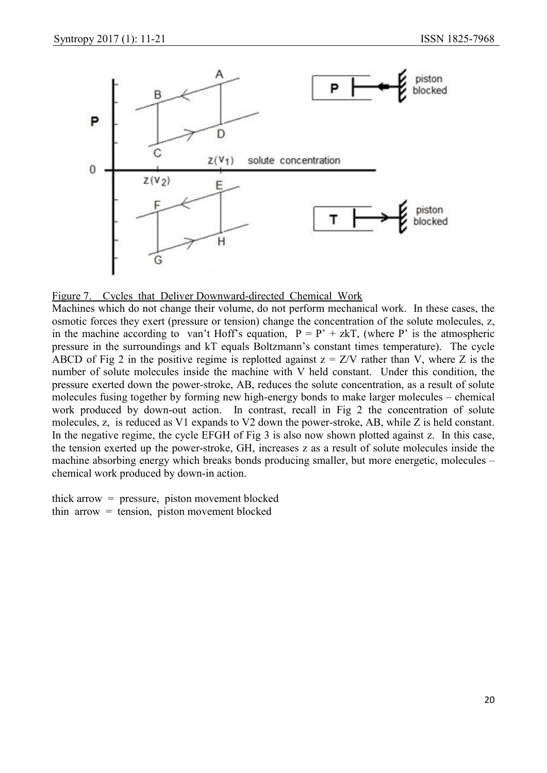



Machines which do not change their volume, do not perform mechanical work. In these cases, the osmotic forces they exert (pressure or tension) change the concentration of the solute molecules, z, in the machine according to van't Hoff's equation,  $P = P' + zkT$ , (where P' is the atmospheric pressure in the surroundings and kT equals Boltzmann's constant times temperature). The cycle ABCD of Fig 2 in the positive regime is replotted against  $z = Z/V$  rather than V, where Z is the number of solute molecules inside the machine with V held constant. Under this condition, the pressure exerted down the power-stroke, AB, reduces the solute concentration, as a result of solute molecules fusing together by forming new high-energy bonds to make larger molecules – chemical work produced by down-out action. In contrast, recall in Fig 2 the concentration of solute molecules, z, is reduced as V1 expands to V2 down the power-stroke, AB, while Z is held constant. In the negative regime, the cycle EFGH of Fig 3 is also now shown plotted against z. In this case, the tension exerted up the power-stroke, GH, increases z as a result of solute molecules inside the machine absorbing energy which breaks bonds producing smaller, but more energetic, molecules – chemical work produced by down-in action.

thick arrow = pressure, piston movement blocked thin arrow = tension, piston movement blocked